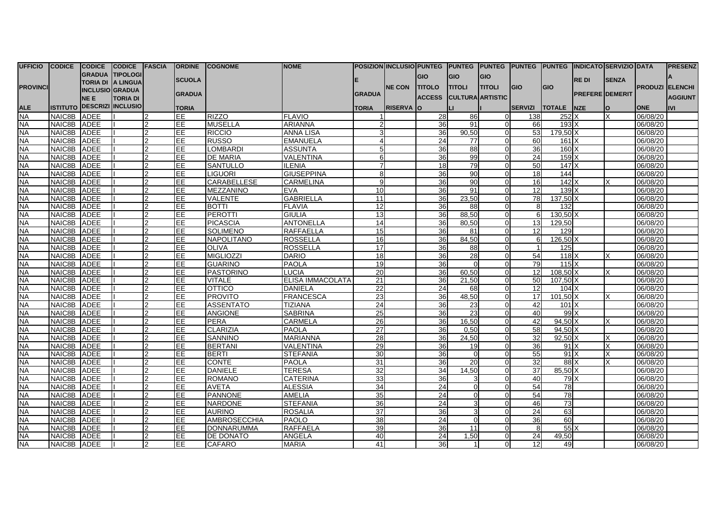| UFFICIO CODICE  |             | <b>CODICE</b>          | CODICE FASCIA              |                | <b>ORDINE</b>   | <b>ICOGNOME</b>     | <b>NOME</b>       |                 |                  |                |                |                         |                 | POSIZION INCLUSIO PUNTEG PUNTEG PUNTEG PUNTEG PUNTEG INDICATO SERVIZIO DATA |                        |              |                        | <b>IPRESENZ</b> |
|-----------------|-------------|------------------------|----------------------------|----------------|-----------------|---------------------|-------------------|-----------------|------------------|----------------|----------------|-------------------------|-----------------|-----------------------------------------------------------------------------|------------------------|--------------|------------------------|-----------------|
|                 |             |                        | GRADUA TIPOLOGI            |                |                 |                     |                   |                 |                  | <b>GIO</b>     | lgio.          | <b>GIO</b>              |                 |                                                                             |                        |              |                        |                 |
| <b>PROVINCI</b> |             |                        | TORIA DI A LINGUA          |                | <b>SCUOLA</b>   |                     |                   |                 | <b>NE CON</b>    | <b>ITITOLO</b> | <b>ITITOLI</b> | <b>TITOLI</b>           | <b>GIO</b>      | <b>GIO</b>                                                                  | <b>REDI</b>            | <b>SENZA</b> | <b>PRODUZI ELENCHI</b> |                 |
|                 |             | <b>INCLUSIO GRADUA</b> |                            |                | <b>GRADUA</b>   |                     |                   | <b>GRADUA</b>   |                  |                |                |                         |                 |                                                                             | <b>PREFERE DEMERIT</b> |              |                        |                 |
|                 |             | NE E                   | <b>TORIA DI</b>            |                |                 |                     |                   |                 |                  | <b>ACCESS</b>  |                | <b>CULTURA ARTISTIC</b> |                 |                                                                             |                        |              |                        | <b>AGGIUNT</b>  |
| ALE<br>NA       |             |                        | ISTITUTO DESCRIZI INCLUSIO |                | <b>TORIA</b>    |                     |                   | <b>TORIA</b>    | <b>RISERVA</b> O |                | ш              |                         | <b>SERVIZI</b>  | <b>TOTALE INZE</b>                                                          |                        | lO.          | <b>ONE</b>             | <b>IVI</b>      |
|                 | NAIC8B ADEE |                        |                            |                | EE              | <b>RIZZO</b>        | <b>FLAVIO</b>     |                 |                  | 28             | 86             | $\Omega$                | 138             | 252 X                                                                       |                        |              | 06/08/20               |                 |
| <b>NA</b>       | NAIC8B ADEE |                        |                            | 2              | EE              | <b>MUSELLA</b>      | <b>ARIANNA</b>    |                 |                  | 36             | 91             | $\Omega$                | 66              | $193\text{X}$                                                               |                        |              | 06/08/20               |                 |
| <b>NA</b>       | NAIC8B ADEE |                        |                            |                | EE              | <b>RICCIO</b>       | <b>ANNA LISA</b>  |                 |                  | 36             | 90,50          | $\Omega$                | 53              | 179.50 X                                                                    |                        |              | 06/08/20               |                 |
| <b>NA</b>       | NAIC8B ADEE |                        |                            |                | EE.             | <b>RUSSO</b>        | <b>EMANUELA</b>   |                 |                  | 24             | 77             | $\Omega$                | 60              | 161X                                                                        |                        |              | 06/08/20               |                 |
| <b>NA</b>       | NAIC8B ADEE |                        |                            | $\mathcal{P}$  | EE              | <b>LOMBARDI</b>     | <b>ASSUNTA</b>    |                 |                  | 36             | 88             | $\Omega$                | 36              | $160$ $X$                                                                   |                        |              | 06/08/20               |                 |
| <b>NA</b>       | NAIC8B ADEE |                        |                            | $\mathfrak{p}$ | EE              | <b>DE MARIA</b>     | <b>VALENTINA</b>  |                 |                  | 36             | 99             | $\Omega$                | 24              | $159$ $X$                                                                   |                        |              | 06/08/20               |                 |
| <b>NA</b>       | NAIC8B ADEE |                        |                            |                | EE.             | <b>SANTULLO</b>     | <b>ILENIA</b>     |                 |                  | 18             | 79             | $\Omega$                | 50              | $147$ $X$                                                                   |                        |              | 06/08/20               |                 |
| <b>NA</b>       | NAIC8B ADEE |                        |                            | っ              | EE              | <b>LIGUORI</b>      | <b>GIUSEPPINA</b> | R               |                  | 36             | 90             | $\Omega$                | 18              | 144                                                                         |                        |              | 06/08/20               |                 |
| <b>NA</b>       | NAIC8B ADEE |                        |                            | 2              | EE              | CARABELLESE         | <b>CARMELINA</b>  | $\mathbf{Q}$    |                  | 36             | 90             | $\Omega$                | 16              | 142                                                                         |                        |              | 06/08/20               |                 |
| <b>NA</b>       | NAIC8B ADEE |                        |                            | $\mathcal{D}$  | EE              | MEZZANINO           | <b>EVA</b>        | 10              |                  | 36             | 91             | $\Omega$                | 12              | 139                                                                         |                        |              | 06/08/20               |                 |
| <b>NA</b>       | NAIC8B ADEE |                        |                            | $\mathfrak{p}$ | EE.             | <b>VALENTE</b>      | <b>GABRIELLA</b>  | 11              |                  | 36             | 23,50          | $\Omega$                | 78              | 137,50 X                                                                    |                        |              | 06/08/20               |                 |
| <b>NA</b>       | NAIC8B ADEE |                        |                            |                | <b>EE</b>       | <b>BOTTI</b>        | <b>FLAVIA</b>     | 12              |                  | 36             | 88             | $\Omega$                | 8               | 132                                                                         |                        |              | 06/08/20               |                 |
| <b>NA</b>       | NAIC8B ADEE |                        |                            |                | EE              | PEROTTI             | <b>GIULIA</b>     | $\overline{13}$ |                  | 36             | 88,50          | $\Omega$                | $6 \mid$        | $130.50$ X                                                                  |                        |              | 06/08/20               |                 |
| <b>NA</b>       | NAIC8B ADEE |                        |                            | っ              | E               | PICASCIA            | <b>ANTONELLA</b>  | 14              |                  | 36             | 80,50          | $\Omega$                | 13 <sup>l</sup> | 129.50                                                                      |                        |              | 06/08/20               |                 |
| <b>NA</b>       | NAIC8B ADEE |                        |                            | $\mathcal{P}$  | EE.             | <b>SOLIMENO</b>     | <b>RAFFAELLA</b>  | 15              |                  | 36             | 81             | $\Omega$                | 12 <sup>1</sup> | 129                                                                         |                        |              | 06/08/20               |                 |
| <b>NA</b>       | NAIC8B ADEE |                        |                            | $\mathcal{P}$  | EE              | <b>NAPOLITANO</b>   | <b>ROSSELLA</b>   | 16              |                  | 36             | 84,50          | $\Omega$                | $6 \mid$        | 126,50 X                                                                    |                        |              | 06/08/20               |                 |
| <b>NA</b>       | NAIC8B ADEE |                        |                            | $\mathfrak{p}$ | EE              | <b>OLIVA</b>        | <b>ROSSELLA</b>   | 17              |                  | 36             | 88             | $\Omega$                | $\vert$         | 125                                                                         |                        |              | 06/08/20               |                 |
| <b>NA</b>       | NAIC8B ADEE |                        |                            | 2              | <b>EE</b>       | <b>MIGLIOZZI</b>    | <b>DARIO</b>      | 18              |                  | 36             | 28             | $\Omega$                | 54              | $118$ $X$                                                                   |                        |              | 06/08/20               |                 |
| <b>NA</b>       | NAIC8B ADEE |                        |                            | $\mathcal{P}$  | EE              | <b>GUARINO</b>      | <b>PAOLA</b>      | 19              |                  | 36             | $\Omega$       | $\Omega$                | 79              | 115X                                                                        |                        |              | 06/08/20               |                 |
| <b>NA</b>       | NAIC8B ADEE |                        |                            |                | $\overline{EE}$ | <b>PASTORINO</b>    | <b>LUCIA</b>      | 20              |                  | 36             | 60,50          | $\Omega$                | 12              | $108.50$ X                                                                  |                        |              | 06/08/20               |                 |
| <b>NA</b>       | NAIC8B ADEE |                        |                            | $\mathcal{P}$  | EE.             | <b>VITALE</b>       | ELISA IMMACOLATA  | 21              |                  | 36             | 21,50          | $\Omega$                | 50              | $107,50$ X                                                                  |                        |              | 06/08/20               |                 |
| <b>NA</b>       | NAIC8B ADEE |                        |                            | $\mathfrak{p}$ | EE.             | <b>OTTICO</b>       | <b>DANIELA</b>    | 22              |                  | 24             | 68             | $\Omega$                | 12              | $104$ $X$                                                                   |                        |              | 06/08/20               |                 |
| <b>NA</b>       | NAIC8B ADEE |                        |                            |                | EE              | <b>PROVITO</b>      | <b>FRANCESCA</b>  | 23              |                  | 36             | 48,50          | $\Omega$                | 17              | 101.50 <sup>X</sup>                                                         |                        |              | 06/08/20               |                 |
| <b>NA</b>       | NAIC8B ADEE |                        |                            | っ              | EE.             | <b>ASSENTATO</b>    | <b>TIZIANA</b>    | 24              |                  | 36             | 23             | $\Omega$                | 42              | 101X                                                                        |                        |              | 06/08/20               |                 |
| <b>NA</b>       | NAIC8B ADEE |                        |                            |                | EE              | <b>ANGIONE</b>      | <b>SABRINA</b>    | 25              |                  | 36             | 23             | $\Omega$                | 40              | 99X                                                                         |                        |              | 06/08/20               |                 |
| <b>NA</b>       | NAIC8B ADEE |                        |                            | $\mathcal{L}$  | EE              | <b>PERA</b>         | <b>CARMELA</b>    | 26              |                  | 36             | 16,50          | $\Omega$                | 42              | 94.50 X                                                                     |                        | X            | 06/08/20               |                 |
| <b>NA</b>       | NAIC8B ADEE |                        |                            | $\mathcal{P}$  | EE              | <b>CLARIZIA</b>     | <b>PAOLA</b>      | 27              |                  | 36             | 0,50           | $\Omega$                | 58              | $94,50$ X                                                                   |                        |              | 06/08/20               |                 |
| <b>NA</b>       | NAIC8B ADEE |                        |                            | $\mathcal{P}$  | lЕE             | <b>SANNINO</b>      | <b>MARIANNA</b>   | 28              |                  | 36             | 24,50          | $\Omega$                | 32              | 92.50 X                                                                     |                        |              | 06/08/20               |                 |
| <b>NA</b>       | NAIC8B ADEE |                        |                            |                | EE.             | <b>BERTANI</b>      | <b>VALENTINA</b>  | 29              |                  | 36             | 19             | $\Omega$                | 36              | 91X                                                                         |                        |              | 06/08/20               |                 |
| <b>NA</b>       | NAIC8B ADEE |                        |                            | っ              | <b>EE</b>       | <b>BERTI</b>        | <b>STEFANIA</b>   | 30              |                  | 36             | $\Omega$       | $\Omega$                | 55              | 91X                                                                         |                        | X            | 06/08/20               |                 |
| <b>NA</b>       | NAIC8B ADEE |                        |                            |                | EE.             | <b>CONTE</b>        | <b>PAOLA</b>      | 31              |                  | 36             | 20             | $\Omega$                | 32              | 88X                                                                         |                        |              | 06/08/20               |                 |
| <b>NA</b>       | NAIC8B ADEE |                        |                            | $\mathcal{P}$  | EE              | DANIELE             | <b>TERESA</b>     | 32              |                  | 34             | 14,50          | $\Omega$                | 37              | 85,50 X                                                                     |                        |              | 06/08/20               |                 |
| <b>NA</b>       | NAIC8B ADEE |                        |                            | $\mathfrak{p}$ | EE              | <b>ROMANO</b>       | <b>CATERINA</b>   | 33              |                  | 36             | 3              | $\Omega$                | 40              | 79 X                                                                        |                        |              | 06/08/20               |                 |
| <b>NA</b>       | NAIC8B ADEE |                        |                            |                | EE              | <b>AVETA</b>        | <b>ALESSIA</b>    | 34              |                  | 24             |                | $\Omega$                | 54              | 78                                                                          |                        |              | 06/08/20               |                 |
| <b>NA</b>       | NAIC8B ADEE |                        |                            |                | EE              | <b>PANNONE</b>      | <b>AMELIA</b>     | 35              |                  | 24             | $\Omega$       | $\Omega$                | 54              | 78                                                                          |                        |              | 06/08/20               |                 |
| <b>NA</b>       | NAIC8B ADEE |                        |                            | $\mathcal{P}$  | EE.             | <b>NARDONE</b>      | <b>STEFANIA</b>   | 36              |                  | 24             | 3              | $\Omega$                | 46              | 73                                                                          |                        |              | 06/08/20               |                 |
| <b>NA</b>       | NAIC8B ADEE |                        |                            | $\mathcal{P}$  | EE              | <b>AURINO</b>       | <b>ROSALIA</b>    | 37              |                  | 36             | 3              | $\Omega$                | 24              | 63                                                                          |                        |              | 06/08/20               |                 |
| <b>NA</b>       | NAIC8B ADEE |                        |                            | $\mathcal{D}$  | E               | <b>AMBROSECCHIA</b> | <b>PAOLO</b>      | 38              |                  | 24             |                | $\Omega$                | 36              | 60                                                                          |                        |              | 06/08/20               |                 |
| <b>NA</b>       | NAIC8B ADEE |                        |                            | $\mathcal{P}$  | EE              | <b>DONNARUMMA</b>   | <b>RAFFAELA</b>   | 39              |                  | 36             | 11             |                         | 8               | 55                                                                          |                        |              | 06/08/20               |                 |
| <b>NA</b>       | NAIC8B ADEE |                        |                            | 2              | EE              | <b>DE DONATO</b>    | <b>ANGELA</b>     | 40              |                  | 24             | 1,50           | $\Omega$                | 24              | 49.50                                                                       |                        |              | 06/08/20               |                 |
| <b>NA</b>       | NAIC8B ADEE |                        |                            | 2              | EE.             | <b>CAFARO</b>       | <b>MARIA</b>      | 41              |                  | 36             | -1 <b>I</b>    | $\Omega$                | 12              | 49                                                                          |                        |              | 06/08/20               |                 |